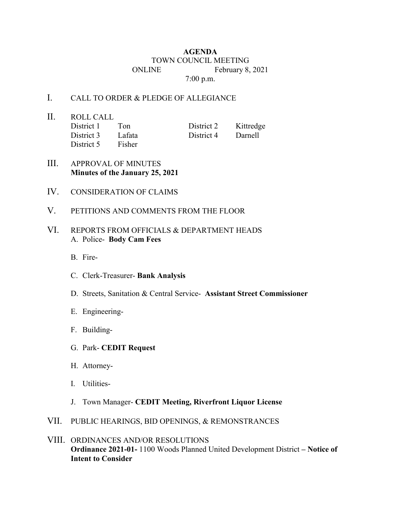## **AGENDA** TOWN COUNCIL MEETING ONLINE February 8, 2021 7:00 p.m.

## I. CALL TO ORDER & PLEDGE OF ALLEGIANCE

II. ROLL CALL District 1 Ton District 2 Kittredge District 3 Lafata District 4 Darnell District 5 Fisher

- III. APPROVAL OF MINUTES **Minutes of the January 25, 2021**
- IV. CONSIDERATION OF CLAIMS
- V. PETITIONS AND COMMENTS FROM THE FLOOR

## VI. REPORTS FROM OFFICIALS & DEPARTMENT HEADS A. Police- **Body Cam Fees**

- B. Fire-
- C. Clerk-Treasurer- **Bank Analysis**
- D. Streets, Sanitation & Central Service- **Assistant Street Commissioner**
- E. Engineering-
- F. Building-
- G. Park- **CEDIT Request**
- H. Attorney-
- I. Utilities-
- J. Town Manager- **CEDIT Meeting, Riverfront Liquor License**
- VII. PUBLIC HEARINGS, BID OPENINGS, & REMONSTRANCES
- VIII. ORDINANCES AND/OR RESOLUTIONS **Ordinance 2021-01-** 1100 Woods Planned United Development District **– Notice of Intent to Consider**